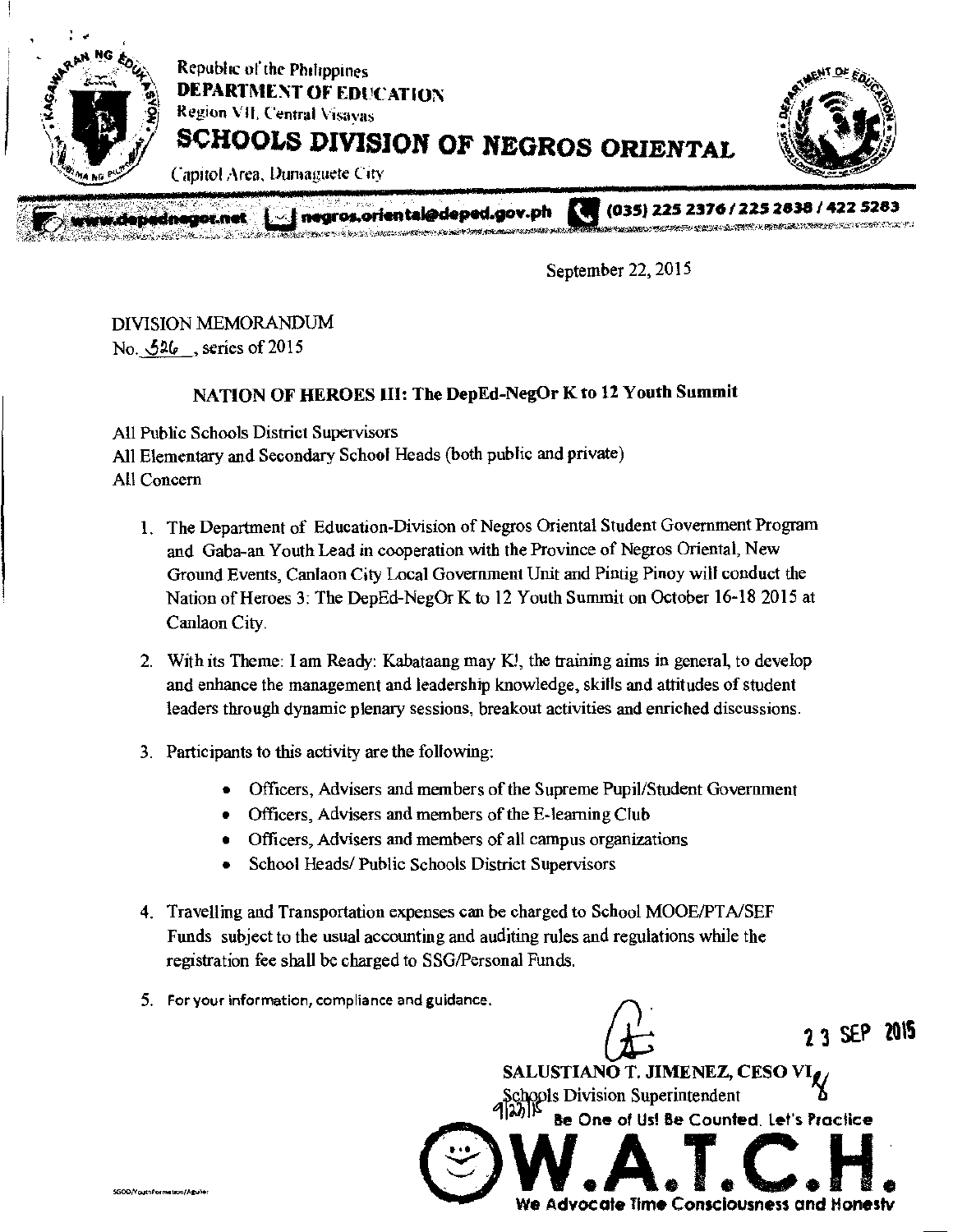

September 22, 2015

## DIVISION MEMORANDUM

No. 526, series of 2015

### NATION OF HEROES III: The DepEd-NegOr K to 12 Youth Summit

All Public Schools District Supervisors All Elementary and Secondary School Heads (both public and private) All Concern

- 1. The Department of Education-Division of Negros Oriental Student Government Program and Gaba-an Youth Lead in cooperation with the Province of Negros Oriental, New Ground Events, Canlaon City Local Government Unit and Pintig Piney will conduct the Nation of Heroes 3: The DepEd-NegOr K to 12 Youth Summit on October 16-18 2015 at Canlaon City.
- 2. With its Theme: lam Ready: Kabataang may KI, the training aims in general, to develop and enhance the management and leadership knowledge, skills and attitudes of student leaders through dynamic plenary sessions, breakout activities and enriched discussions.
- 3. Participants to this activity are the following:
	- Officers, Advisers and members of the Supreme Pupil/Student Government
	- Officers, Advisers and members of the E-learning Club
	- Officers, Advisers and members of all campus organizations
	- School Heads/ Public Schools District Supervisors
- 4. Travelling and Transportation expenses can be charged to School MOOE/PTA/SEF Funds subject to the usual accounting and auditing rules and regulations while the registration fee shall be charged to SSG/Personal Funds.
- 5, For your information, compliance and guidance.

2 3 SEP 2015  $Q\rightarrow$ SALUSTIANO T. JIMENEZ, CESO  $\frac{1}{2}$ Schools Division Superintendent Be One of Us! Be Counted, Let's Practice We Advocate Time Consciousness and Honestv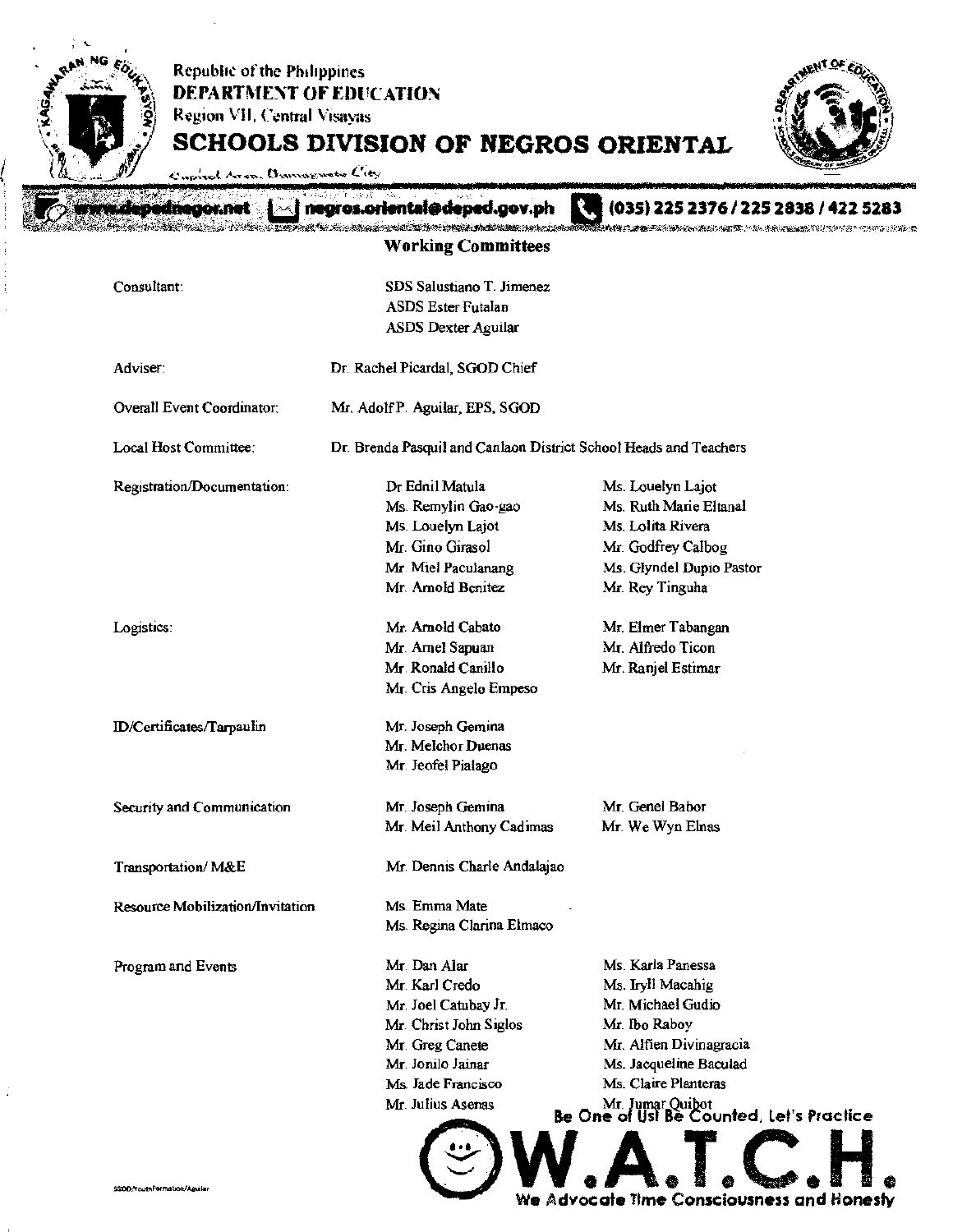

Advocate Time Consciousness and Honesty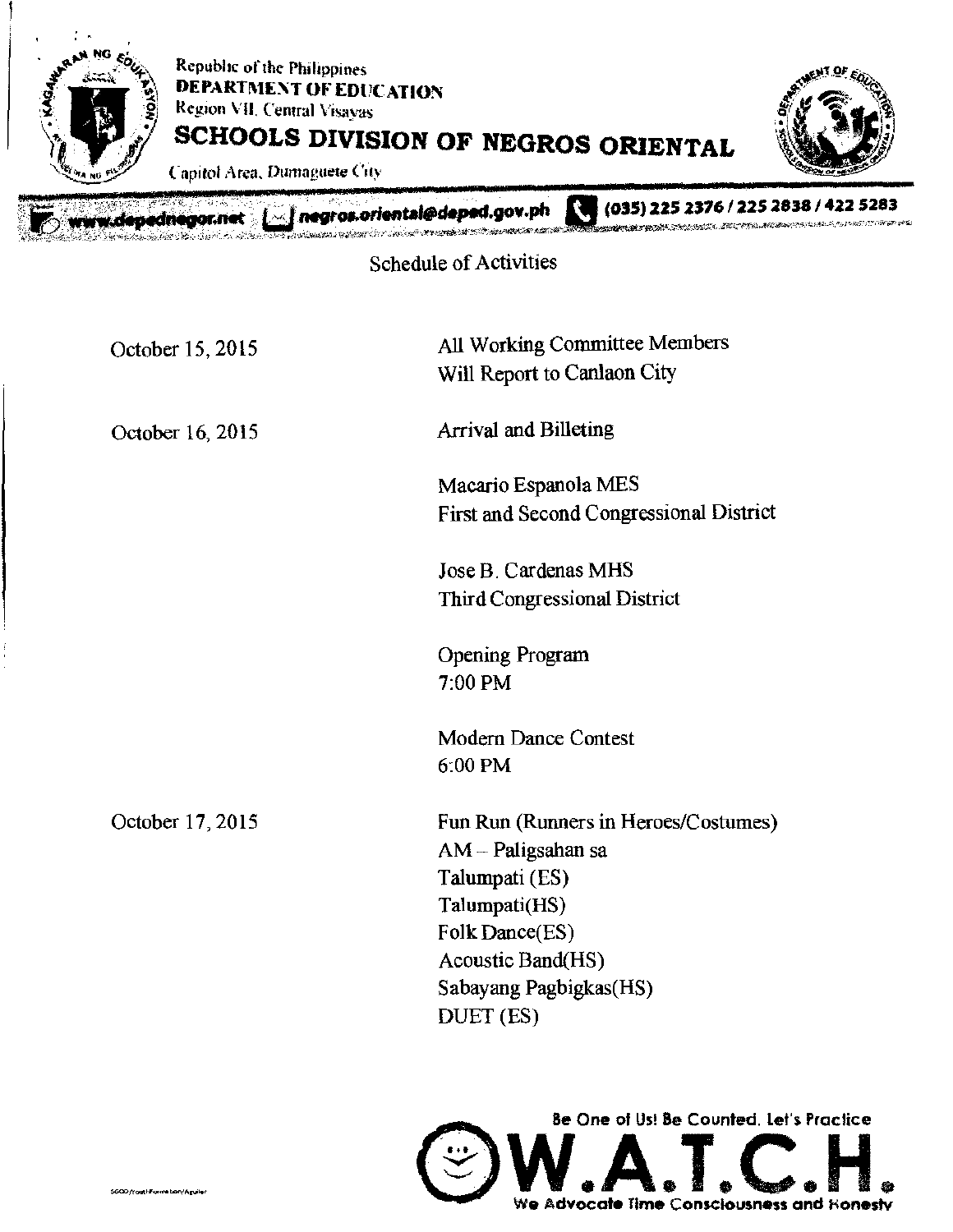

Schedule of Activities

| October 15, 2015 | All Working Committee Members<br>Will Report to Canlaon City                                                                                                                |
|------------------|-----------------------------------------------------------------------------------------------------------------------------------------------------------------------------|
| October 16, 2015 | <b>Arrival and Billeting</b>                                                                                                                                                |
|                  | Macario Espanola MES<br>First and Second Congressional District                                                                                                             |
|                  | Jose B. Cardenas MHS<br>Third Congressional District                                                                                                                        |
|                  | <b>Opening Program</b><br>7:00 PM                                                                                                                                           |
|                  | <b>Modern Dance Contest</b><br>6:00 PM                                                                                                                                      |
| October 17, 2015 | Fun Run (Runners in Heroes/Costumes)<br>AM - Paligsahan sa<br>Talumpati (ES)<br>Talumpati(HS)<br>Folk Dance(ES)<br>Acoustic Band(HS)<br>Sabayang Pagbigkas(HS)<br>DUET (ES) |
|                  |                                                                                                                                                                             |

Be One of Us! Be Counted. Let's Practice  $\bigcirc$  W.A.T.C.H.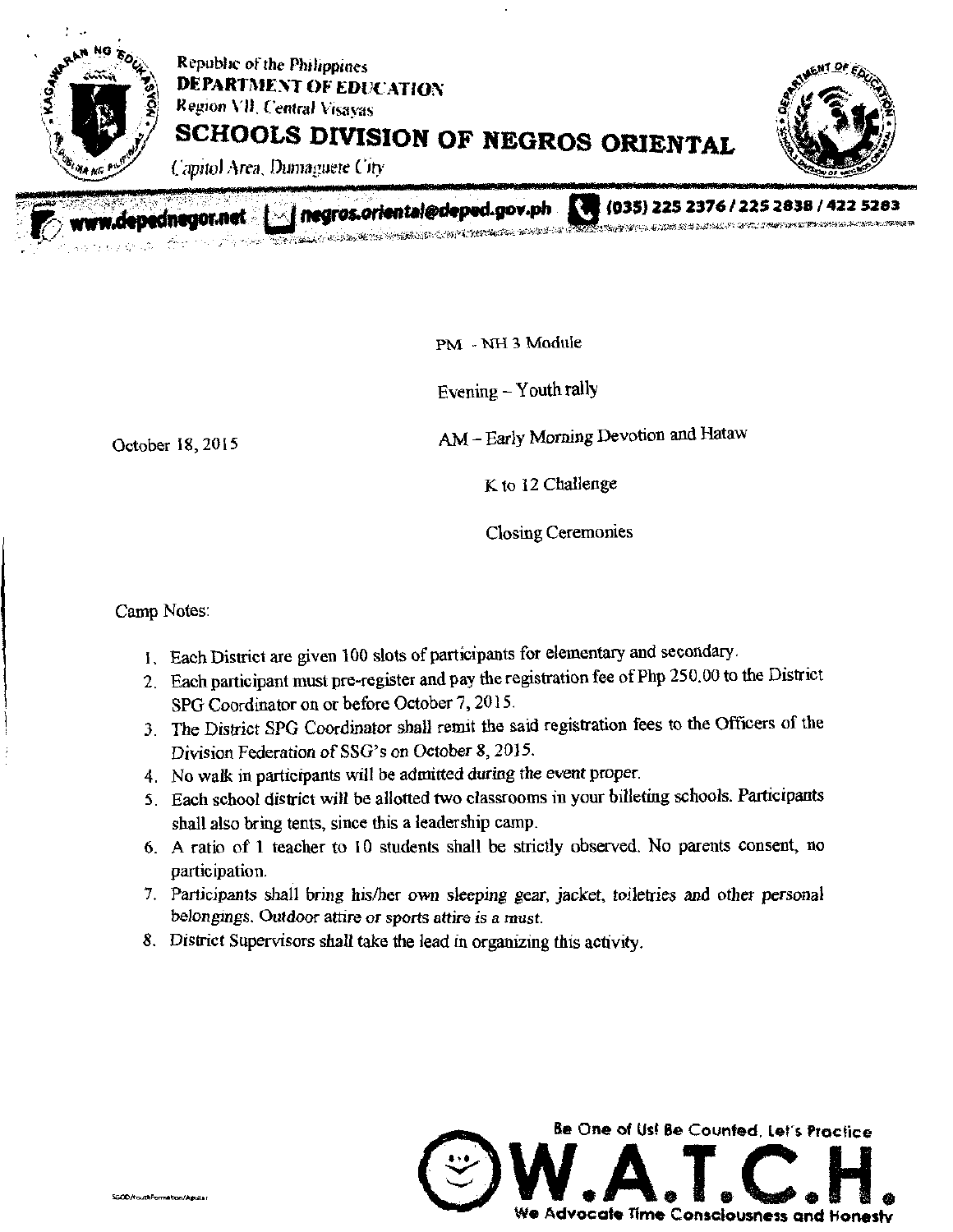

rww.depednegor.net $\ll$  negros.oriental@deped.gov.ph

3 (035) 235 2376/225 2838422 5283

PM - NH 3 Module

Evening - Youth rally

الولوية

October 18, 2015 AM - Early Morning Devotion and Hataw

K to 12 Challenge

Closing Ceremonies

Camp Notes:

- 1. Each District are given 100 slots of participants for elementary and secondary.
- 2. Each participant must pre-register and pay the registration fee of Php 250.00 to the District SPG Coordinator on or before October 7, 2015.
- 3. The District SPG Coordinator shall remit the said registration fees to the Officers of the Division Federation of SSG's on October 8, 2015.
- 4. No walk in participants will be admitted during the event proper.
- 5. Each school district will be allotted two classrooms in your billeting schools. Participants shall also bring tents, since this a leadership camp.
- 6. A ratio of I teacher to 10 students shall be strictly observed. No parents consent, no participation.
- 7. Participants shall bring his/her own sleeping gear, jacket, toiletries and other personal belongings. Outdoor *attire or* sports attire is a must.
- S. District Supervisors shall take the lead in organizing this activity.

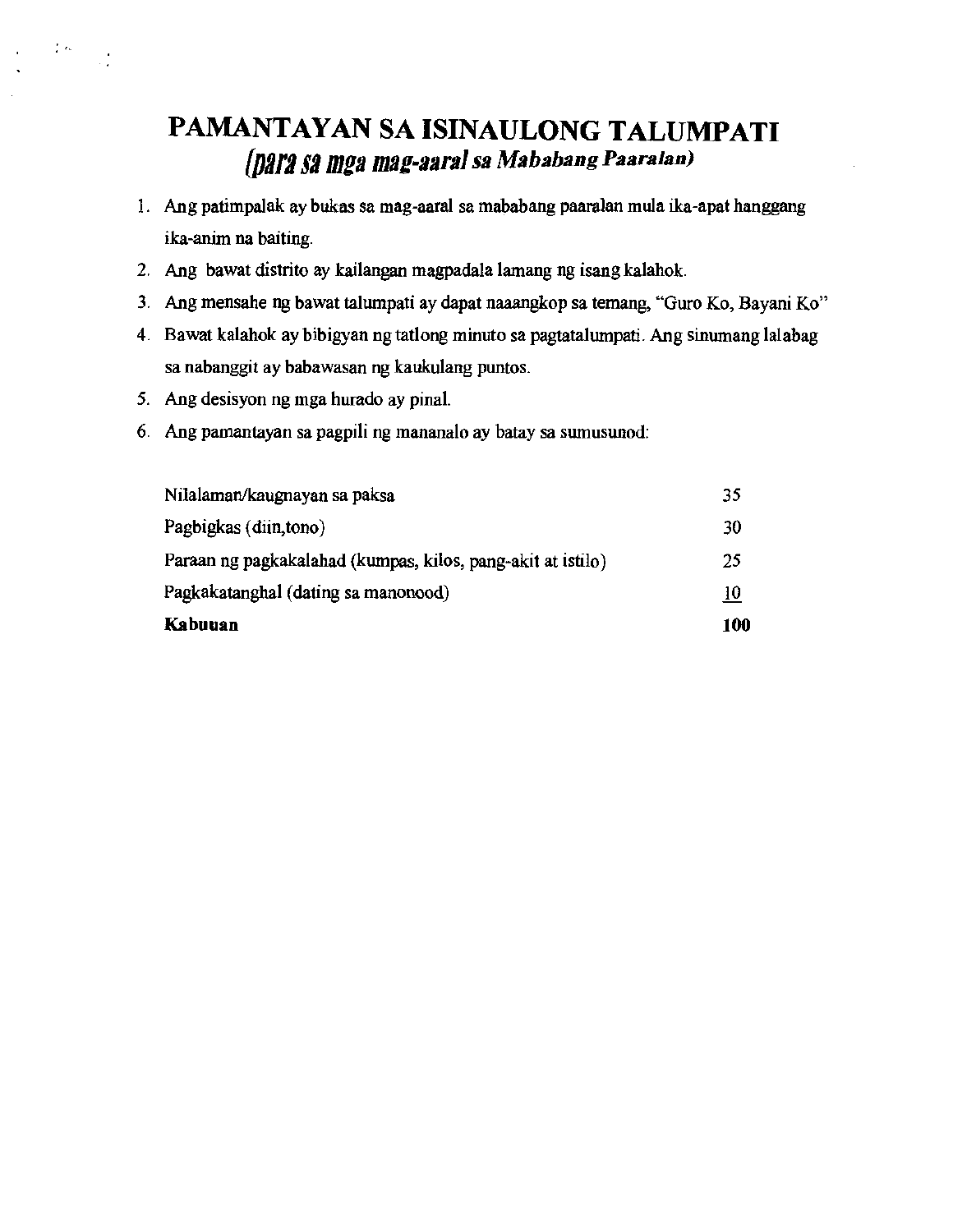# PAMANTAYAN SA ISINAULONG TALUMPATI *(DilL? 52 mga mag-aaral sa Mahabang Paara Ian)*

- *1. Mg* patimpalak ay bukas sa mag-aaral sa mababang panralan mula ika-apat hanggang ika-anim na baiting.
- 2. Mg bawat distrito ay kailangan magpadala lamang ng isang kalahok.
- 3. Mg mensahe ng bawat talumpati ay dapat naaangkop sa temang, "Guro Ko, Bayani Ko"
- 4. Bawat kalahok ay bibigyan ngtatlong minuto sa pagiatalumpati. Ang sinumang lalabag sa nabanggit ay babawasan ng kaukulang puntos.
- 5. Ang desisyon ng mga hurado ay pinal.

 $\mathcal{E}$ ek

6. Mg pamantayan sa pagpili ng mananalo ay batay sa sumusunod:

| Kabuuan                                                     | 100 |
|-------------------------------------------------------------|-----|
| Pagkakatanghal (dating sa manonood)                         | 10  |
| Paraan ng pagkakalahad (kumpas, kilos, pang-akit at istilo) | 25  |
| Pagbigkas (diin, tono)                                      | 30  |
| Nilalaman/kaugnayan sa paksa                                | 35  |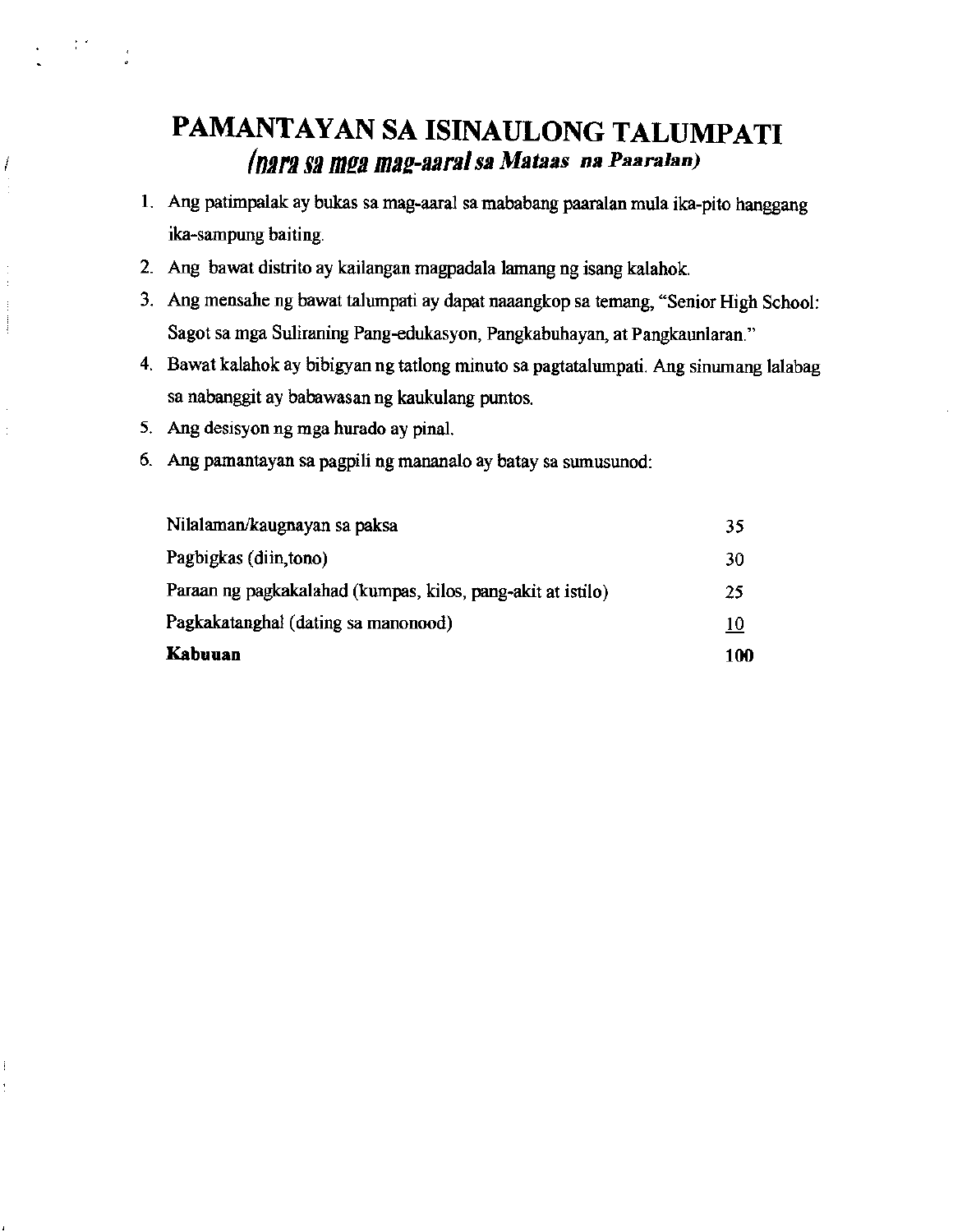# PAMANTAYAN SA ISINAULONG TALUMPATI finn *12* inn *mag-aaral sa Maws na Paaralan)*

- 1. Ang patimpalak ay bukas sa mag-aaral sa mababang paaralan mula ika-pito hanggang ika-sampung baiting.
- 2. Mg bawat distrito ay kailangan magpadala lamang ng isang kalahok.
- 3. Mg mensahe ng bawat talumpati ay dapat naaangkop sa temang, "Senior High School: Sagot sa mga Suliraning Pang-edukasyon, Pangkabuhayan, at Pangkaunlaran."
- 4. Bawat kalahok ay bibigyan ng tatlong minuto sa pagtatalumpati. Ang sinumang lalabag sa nabanggit ay babawasan ng kaukulang puntos.
- 5. Ang desisyon ng mga hurado ay pinal.

 $\frac{1}{2}$  ,  $\frac{1}{2}$ 

Í

ŧ

ĺ

6. Ang pamantayan sa pagpili ng mananalo ay batay sa sumusunod:

| Kabuuan                                                     | 100        |
|-------------------------------------------------------------|------------|
| Pagkakatanghal (dating sa manonood)                         | <u> 10</u> |
| Paraan ng pagkakalahad (kumpas, kilos, pang-akit at istilo) | 25         |
| Pagbigkas (diin, tono)                                      | 30         |
| Nilalaman/kaugnayan sa paksa                                | 35         |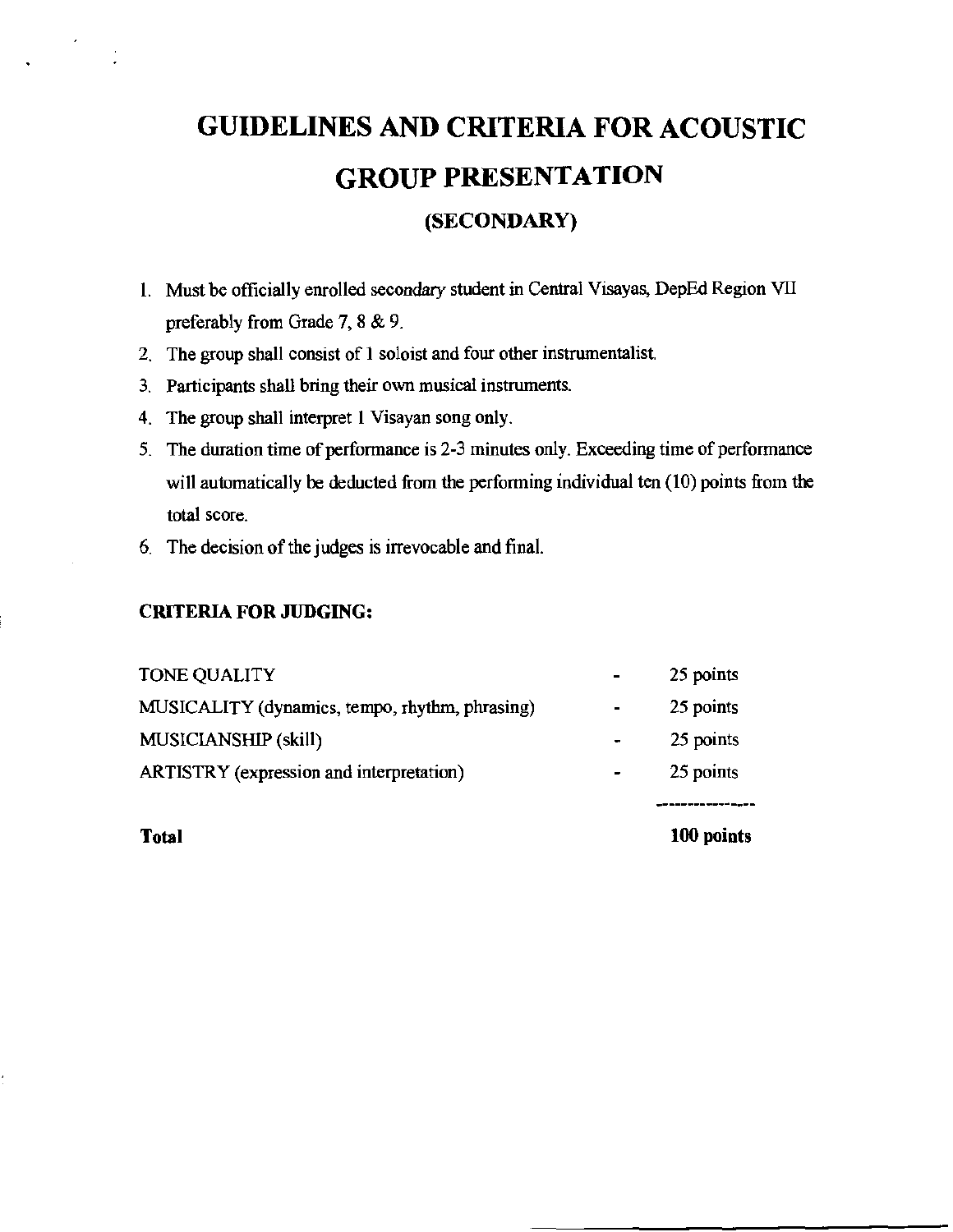# GUIDELINES AND CRITERIA FOR ACOUSTIC GROUP PRESENTATION

## (SECONDARY)

- 1. Must be officially enrolled secondary student in Central Visayas, DepEd Region VII preferably from Grade 7, 8 & 9.
- 2. The group shall consist of I soloist and four other instrumentalist.
- 3. Participants shall bring their own musical instruments
- 4. The group shall interpret I Visayan song only.
- 5. The duration time of performance is 2-3 minutes only. Exceeding time of performance will automatically be deducted from the performing individual ten (10) points from the total score.
- 6. The decision of the judges is irrevocable and final.

#### CRITERIA FOR JUDGING:

| ARTISTRY (expression and interpretation)       |   | 25 points |
|------------------------------------------------|---|-----------|
| MUSICIANSHIP (skill)                           |   | 25 points |
| MUSICALITY (dynamics, tempo, rhythm, phrasing) | ۰ | 25 points |
| TONE QUALITY                                   |   | 25 points |

Total

100 points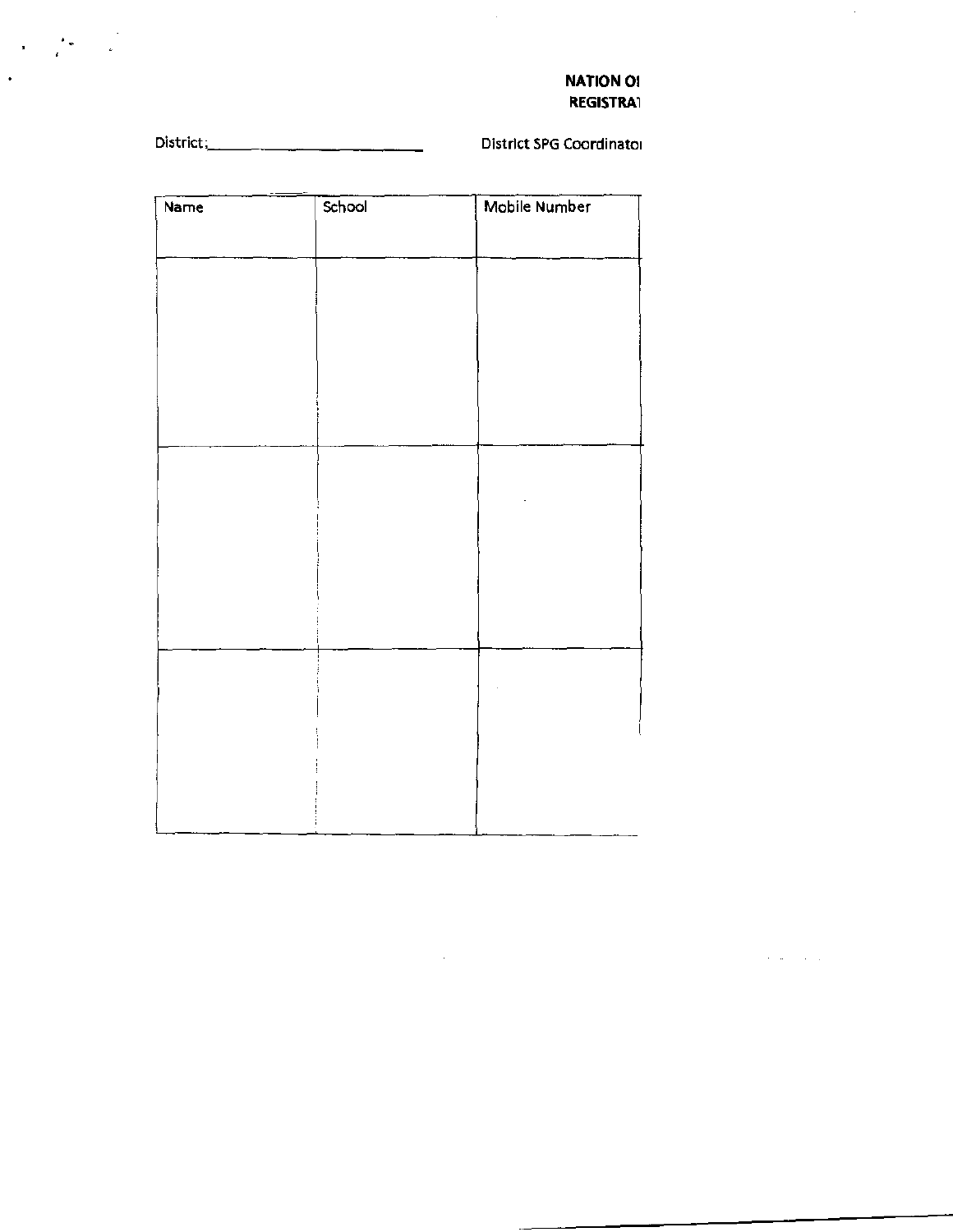#### **NATION OI REGISTRA1**

 $\mathcal{L}$ 

 $\label{eq:2} \frac{1}{\sqrt{2}}\int_{0}^{\infty}\frac{dx}{\sqrt{2}}dx=\frac{1}{2}\int_{0}^{\infty}\frac{dx}{\sqrt{2}}dx.$ 

 $\ddot{\phantom{0}}$ 

**District SPG Coordinator** 

 $\hat{\mathcal{L}}$ 

| Name | School | Mobile Number |
|------|--------|---------------|
|      |        |               |
|      |        |               |
|      |        |               |
|      |        |               |
|      |        |               |
|      |        |               |
|      |        |               |
|      |        |               |
|      |        |               |
|      |        |               |
|      |        |               |
|      |        |               |
|      |        |               |
|      |        |               |
|      |        |               |
|      |        |               |
|      |        |               |

 $\sim 10^6$  $\sim 10^{11}$  km  $\sim 10^{-1}$  .